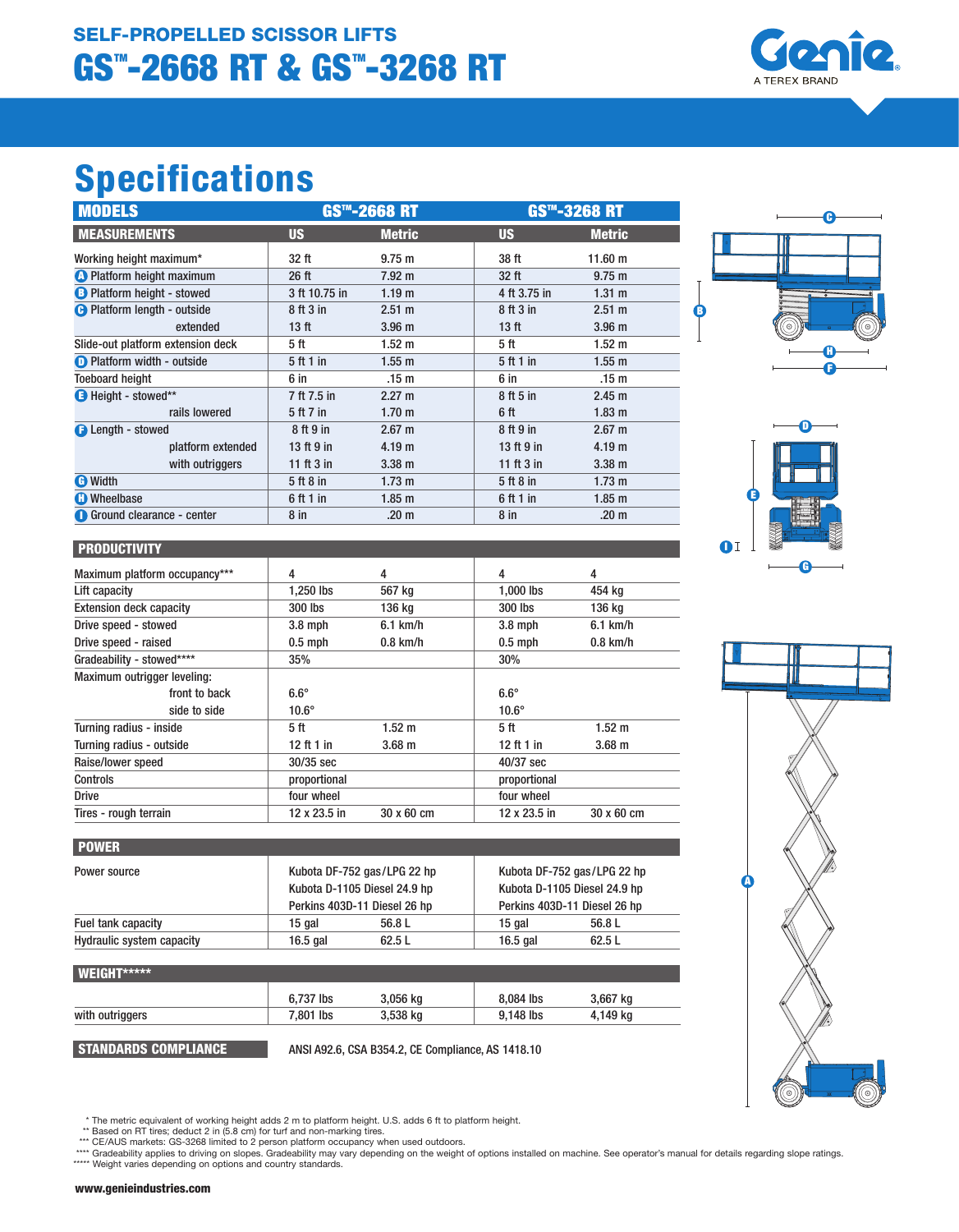## GS<sup>T</sup>-2668 RT & GST-3268 RT SELF-PROPELLED SCISSOR LIFTS



# Specifications

| <b>MODELS</b>                      | <b>GS™-2668 RT</b> |                   | <b>GS<sup>TM</sup>-3268 RT</b> |                   |
|------------------------------------|--------------------|-------------------|--------------------------------|-------------------|
| <b>MEASUREMENTS</b>                | <b>US</b>          | <b>Metric</b>     | <b>US</b>                      | <b>Metric</b>     |
| Working height maximum*            | 32 ft              | $9.75 \; m$       | 38 ft                          | 11.60 m           |
| <b>A</b> Platform height maximum   | 26 ft              | $7.92 \text{ m}$  | 32 ft                          | $9.75 \text{ m}$  |
| <b>B</b> Platform height - stowed  | 3 ft 10.75 in      | 1.19 <sub>m</sub> | 4 ft 3.75 in                   | $1.31 \text{ m}$  |
| <b>A</b> Platform length - outside | 8 ft 3 in          | $2.51 \text{ m}$  | 8 ft 3 in                      | 2.51 m            |
| extended                           | 13 <sub>ft</sub>   | 3.96 <sub>m</sub> | 13 <sub>ft</sub>               | 3.96 <sub>m</sub> |
| Slide-out platform extension deck  | 5 ft               | 1.52 <sub>m</sub> | 5 ft                           | 1.52 <sub>m</sub> |
| <b>D</b> Platform width - outside  | 5 ft 1 in          | $1.55$ m          | 5 ft 1 in                      | $1.55$ m          |
| <b>Toeboard height</b>             | 6 in               | .15 <sub>m</sub>  | 6 in                           | .15 <sub>m</sub>  |
| Height - stowed**                  | 7 ft 7.5 in        | $2.27 \text{ m}$  | 8 ft 5 in                      | 2.45 m            |
| rails lowered                      | 5 ft 7 in          | 1.70 <sub>m</sub> | 6 ft                           | 1.83 <sub>m</sub> |
| <b>B</b> Length - stowed           | 8 ft 9 in          | $2.67 \text{ m}$  | 8 ft 9 in                      | $2.67 \text{ m}$  |
| platform extended                  | 13 ft 9 in         | 4.19 <sub>m</sub> | 13 ft 9 in                     | 4.19 <sub>m</sub> |
| with outriggers                    | 11 ft $3$ in       | $3.38$ m          | 11 ft $3$ in                   | $3.38$ m          |
| <b>O</b> Width                     | 5 ft 8 in          | $1.73 \text{ m}$  | 5 ft 8 in                      | $1.73 \text{ m}$  |
| <b>C</b> Wheelbase                 | 6 ft 1 in          | $1.85$ m          | 6 ft 1 in                      | $1.85$ m          |
| <b>Ground clearance - center</b>   | 8 <sub>in</sub>    | .20 <sub>m</sub>  | 8 <sub>in</sub>                | .20 <sub>m</sub>  |





#### **PRODUCTIVITY**

| Maximum platform occupancy***  | 4            | 4           | 4               | 4           |
|--------------------------------|--------------|-------------|-----------------|-------------|
| Lift capacity                  | 1,250 lbs    | 567 kg      | 1,000 lbs       | 454 kg      |
| <b>Extension deck capacity</b> | 300 lbs      | 136 kg      | 300 lbs         | 136 kg      |
| Drive speed - stowed           | $3.8$ mph    | $6.1$ km/h  | $3.8$ mph       | $6.1$ km/h  |
| Drive speed - raised           | $0.5$ mph    | $0.8$ km/h  | $0.5$ mph       | $0.8$ km/h  |
| Gradeability - stowed****      | 35%          |             | 30%             |             |
| Maximum outrigger leveling:    |              |             |                 |             |
| front to back                  | $6.6^\circ$  |             | $6.6^\circ$     |             |
| side to side                   | $10.6^\circ$ |             | $10.6^\circ$    |             |
| Turning radius - inside        | 5 ft         | $1.52 \; m$ | 5 <sup>ft</sup> | $1.52 \; m$ |
| Turning radius - outside       | 12 ft 1 in   | $3.68$ m    | 12 ft 1 in      | $3.68$ m    |
| Raise/lower speed              | 30/35 sec    |             | 40/37 sec       |             |
| <b>Controls</b>                | proportional |             | proportional    |             |
| <b>Drive</b>                   | four wheel   |             | four wheel      |             |
| Tires - rough terrain          | 12 x 23.5 in | 30 x 60 cm  | 12 x 23.5 in    | 30 x 60 cm  |

| <b>POWER</b>              |                              |                             |                              |        |  |
|---------------------------|------------------------------|-----------------------------|------------------------------|--------|--|
| Power source              |                              | Kubota DF-752 gas/LPG 22 hp | Kubota DF-752 gas/LPG 22 hp  |        |  |
|                           | Kubota D-1105 Diesel 24.9 hp |                             | Kubota D-1105 Diesel 24.9 hp |        |  |
|                           | Perkins 403D-11 Diesel 26 hp |                             | Perkins 403D-11 Diesel 26 hp |        |  |
| Fuel tank capacity        | 15 gal                       | 56.8 L                      | 15 gal                       | 56.8 L |  |
| Hydraulic system capacity | $16.5$ gal                   | 62.5L                       | 16.5 $q$ al                  | 62.5L  |  |

| WEIGHT*****     |           |          |           |          |  |
|-----------------|-----------|----------|-----------|----------|--|
|                 | 6.737 lbs | 3.056 ka | 8.084 lbs | 3,667 kg |  |
| with outriggers | 7.801 lbs | 3,538 kg | 9.148 lbs | 4,149 kg |  |
|                 |           |          |           |          |  |

STANDARDS COMPLIANCE ANSI A92.6, CSA B354.2, CE Compliance, AS 1418.10



\*\* Based on RT tires; deduct 2 in (5.8 cm) for turf and non-marking tires.<br>\*\*\* CE/AUS markets: GS-3268 limited to 2 person platform occupancy when used outdoors.<br>\*\*\*\* Gradeability applies to driving on slopes. Gradeability

 <sup>\*</sup> The metric equivalent of working height adds 2 m to platform height. U.S. adds 6 ft to platform height.